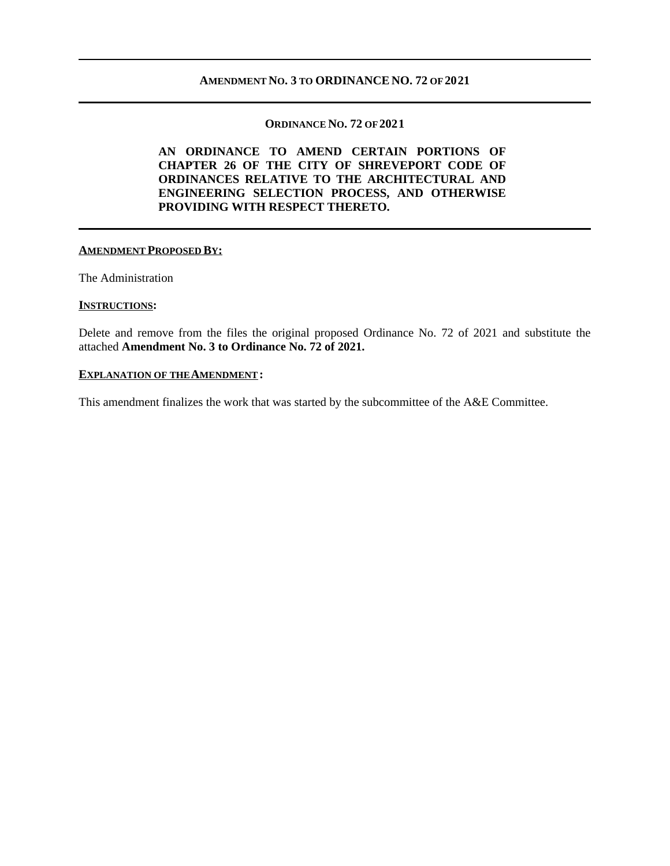# **AMENDMENT NO. 3 TO ORDINANCE NO. 72 OF 2021**

## **ORDINANCE NO. 72 OF 2021**

# **AN ORDINANCE TO AMEND CERTAIN PORTIONS OF CHAPTER 26 OF THE CITY OF SHREVEPORT CODE OF ORDINANCES RELATIVE TO THE ARCHITECTURAL AND ENGINEERING SELECTION PROCESS, AND OTHERWISE PROVIDING WITH RESPECT THERETO.**

## **AMENDMENT PROPOSED BY:**

The Administration

### **INSTRUCTIONS:**

Delete and remove from the files the original proposed Ordinance No. 72 of 2021 and substitute the attached **Amendment No. 3 to Ordinance No. 72 of 2021.**

#### **EXPLANATION OF THE AMENDMENT:**

This amendment finalizes the work that was started by the subcommittee of the A&E Committee.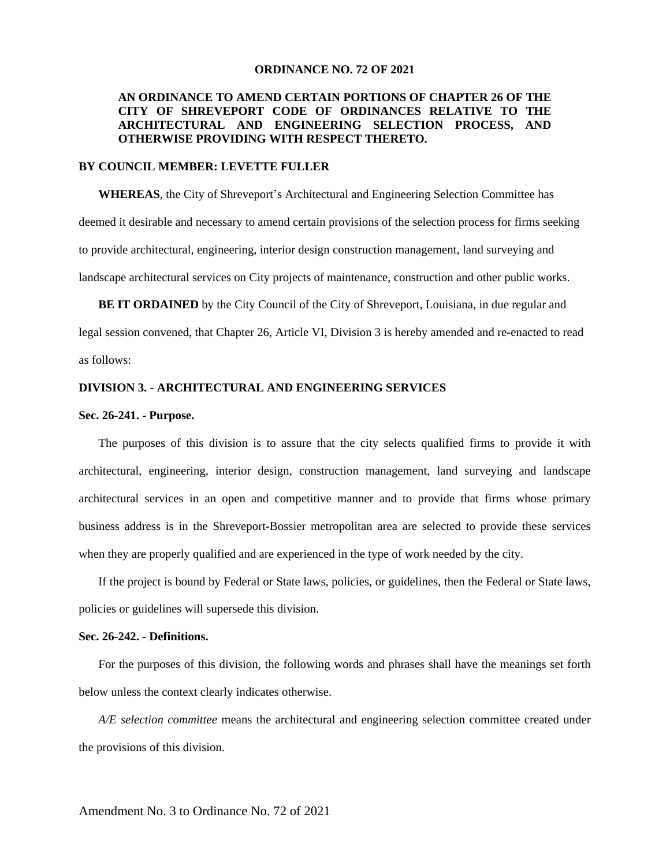#### **ORDINANCE NO. 72 OF 2021**

# **AN ORDINANCE TO AMEND CERTAIN PORTIONS OF CHAPTER 26 OF THE CITY OF SHREVEPORT CODE OF ORDINANCES RELATIVE TO THE ARCHITECTURAL AND ENGINEERING SELECTION PROCESS, AND OTHERWISE PROVIDING WITH RESPECT THERETO.**

#### **BY COUNCIL MEMBER: LEVETTE FULLER**

**WHEREAS**, the City of Shreveport's Architectural and Engineering Selection Committee has deemed it desirable and necessary to amend certain provisions of the selection process for firms seeking to provide architectural, engineering, interior design construction management, land surveying and landscape architectural services on City projects of maintenance, construction and other public works.

**BE IT ORDAINED** by the City Council of the City of Shreveport, Louisiana, in due regular and legal session convened, that Chapter 26, Article VI, Division 3 is hereby amended and re-enacted to read as follows:

## **DIVISION 3. - ARCHITECTURAL AND ENGINEERING SERVICES**

#### **Sec. 26-241. - Purpose.**

The purposes of this division is to assure that the city selects qualified firms to provide it with architectural, engineering, interior design, construction management, land surveying and landscape architectural services in an open and competitive manner and to provide that firms whose primary business address is in the Shreveport-Bossier metropolitan area are selected to provide these services when they are properly qualified and are experienced in the type of work needed by the city.

If the project is bound by Federal or State laws, policies, or guidelines, then the Federal or State laws, policies or guidelines will supersede this division.

#### **Sec. 26-242. - Definitions.**

For the purposes of this division, the following words and phrases shall have the meanings set forth below unless the context clearly indicates otherwise.

*A/E selection committee* means the architectural and engineering selection committee created under the provisions of this division.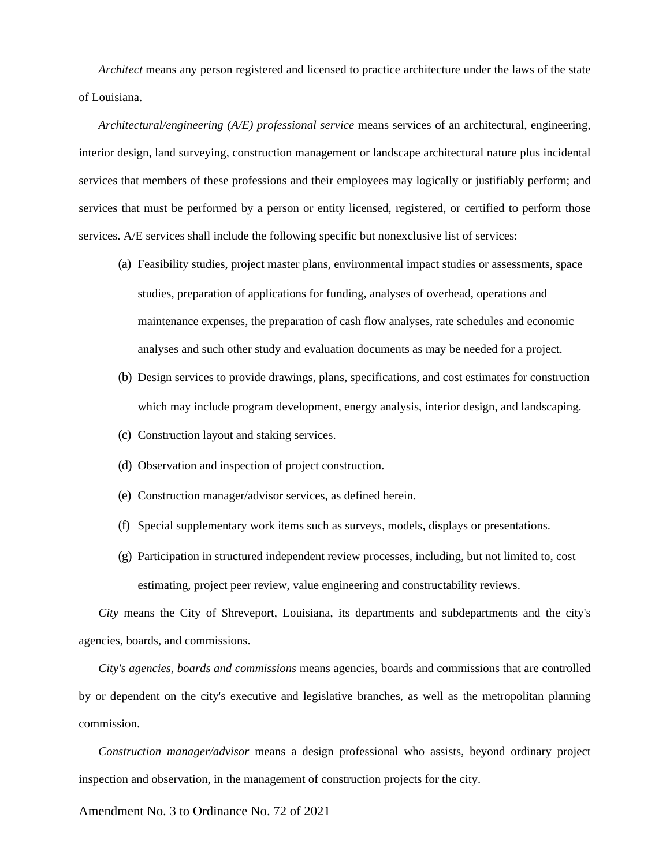*Architect* means any person registered and licensed to practice architecture under the laws of the state of Louisiana.

*Architectural/engineering (A/E) professional service* means services of an architectural, engineering, interior design, land surveying, construction management or landscape architectural nature plus incidental services that members of these professions and their employees may logically or justifiably perform; and services that must be performed by a person or entity licensed, registered, or certified to perform those services. A/E services shall include the following specific but nonexclusive list of services:

- (a) Feasibility studies, project master plans, environmental impact studies or assessments, space studies, preparation of applications for funding, analyses of overhead, operations and maintenance expenses, the preparation of cash flow analyses, rate schedules and economic analyses and such other study and evaluation documents as may be needed for a project.
- (b) Design services to provide drawings, plans, specifications, and cost estimates for construction which may include program development, energy analysis, interior design, and landscaping.
- (c) Construction layout and staking services.
- (d) Observation and inspection of project construction.
- (e) Construction manager/advisor services, as defined herein.
- (f) Special supplementary work items such as surveys, models, displays or presentations.
- (g) Participation in structured independent review processes, including, but not limited to, cost estimating, project peer review, value engineering and constructability reviews.

*City* means the City of Shreveport, Louisiana, its departments and subdepartments and the city's agencies, boards, and commissions.

*City's agencies, boards and commissions* means agencies, boards and commissions that are controlled by or dependent on the city's executive and legislative branches, as well as the metropolitan planning commission.

*Construction manager/advisor* means a design professional who assists, beyond ordinary project inspection and observation, in the management of construction projects for the city.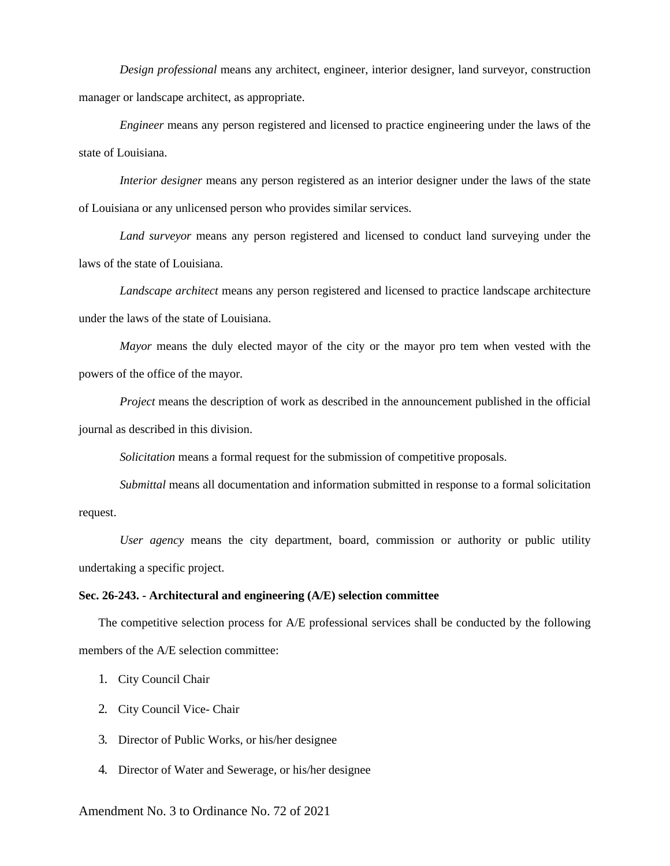*Design professional* means any architect, engineer, interior designer, land surveyor, construction manager or landscape architect, as appropriate.

*Engineer* means any person registered and licensed to practice engineering under the laws of the state of Louisiana.

*Interior designer* means any person registered as an interior designer under the laws of the state of Louisiana or any unlicensed person who provides similar services.

*Land surveyor* means any person registered and licensed to conduct land surveying under the laws of the state of Louisiana.

*Landscape architect* means any person registered and licensed to practice landscape architecture under the laws of the state of Louisiana.

*Mayor* means the duly elected mayor of the city or the mayor pro tem when vested with the powers of the office of the mayor.

*Project* means the description of work as described in the announcement published in the official journal as described in this division.

*Solicitation* means a formal request for the submission of competitive proposals.

*Submittal* means all documentation and information submitted in response to a formal solicitation request.

*User agency* means the city department, board, commission or authority or public utility undertaking a specific project.

## **Sec. 26-243. - Architectural and engineering (A/E) selection committee**

The competitive selection process for A/E professional services shall be conducted by the following members of the A/E selection committee:

- 1. City Council Chair
- 2. City Council Vice- Chair
- 3. Director of Public Works, or his/her designee
- 4. Director of Water and Sewerage, or his/her designee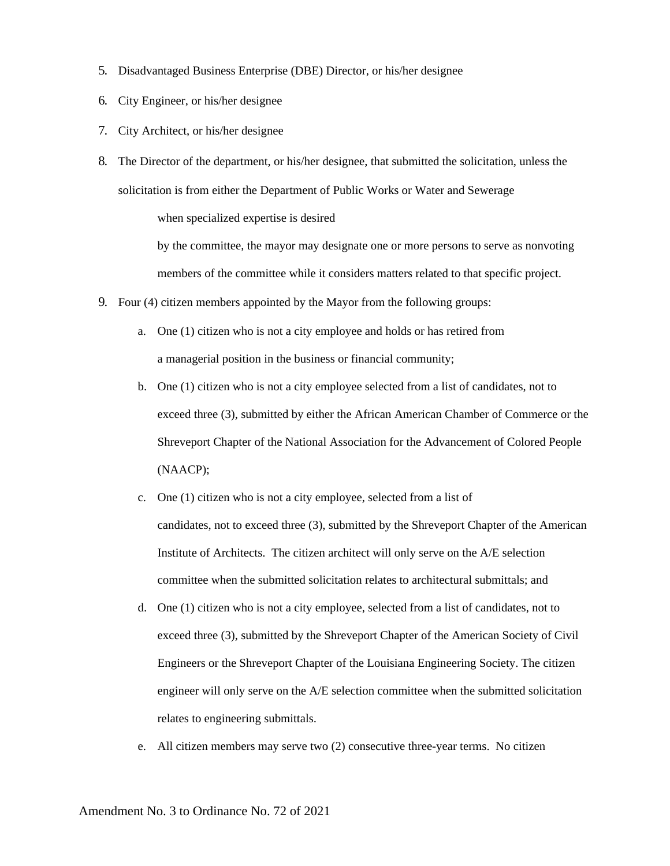- 5. Disadvantaged Business Enterprise (DBE) Director, or his/her designee
- 6. City Engineer, or his/her designee
- 7. City Architect, or his/her designee
- 8. The Director of the department, or his/her designee, that submitted the solicitation, unless the solicitation is from either the Department of Public Works or Water and Sewerage

when specialized expertise is desired

by the committee, the mayor may designate one or more persons to serve as nonvoting members of the committee while it considers matters related to that specific project.

- 9. Four (4) citizen members appointed by the Mayor from the following groups:
	- a. One (1) citizen who is not a city employee and holds or has retired from a managerial position in the business or financial community;
	- b. One (1) citizen who is not a city employee selected from a list of candidates, not to exceed three (3), submitted by either the African American Chamber of Commerce or the Shreveport Chapter of the National Association for the Advancement of Colored People (NAACP);
	- c. One (1) citizen who is not a city employee, selected from a list of candidates, not to exceed three (3), submitted by the Shreveport Chapter of the American Institute of Architects. The citizen architect will only serve on the A/E selection committee when the submitted solicitation relates to architectural submittals; and
	- d. One (1) citizen who is not a city employee, selected from a list of candidates, not to exceed three (3), submitted by the Shreveport Chapter of the American Society of Civil Engineers or the Shreveport Chapter of the Louisiana Engineering Society. The citizen engineer will only serve on the A/E selection committee when the submitted solicitation relates to engineering submittals.
	- e. All citizen members may serve two (2) consecutive three-year terms. No citizen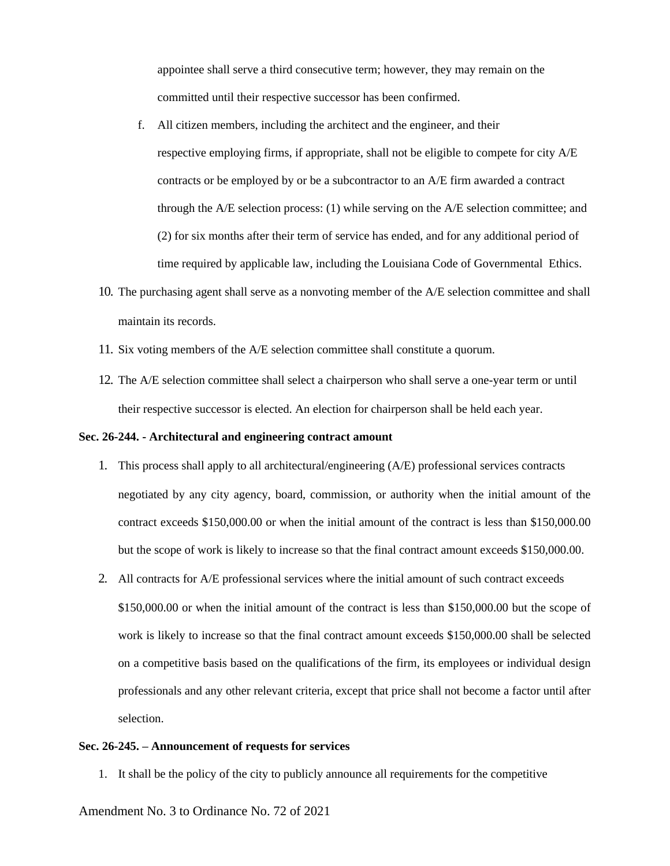appointee shall serve a third consecutive term; however, they may remain on the committed until their respective successor has been confirmed.

- f. All citizen members, including the architect and the engineer, and their respective employing firms, if appropriate, shall not be eligible to compete for city A/E contracts or be employed by or be a subcontractor to an A/E firm awarded a contract through the A/E selection process: (1) while serving on the A/E selection committee; and (2) for six months after their term of service has ended, and for any additional period of time required by applicable law, including the Louisiana Code of Governmental Ethics.
- 10. The purchasing agent shall serve as a nonvoting member of the A/E selection committee and shall maintain its records.
- 11. Six voting members of the A/E selection committee shall constitute a quorum.
- 12. The A/E selection committee shall select a chairperson who shall serve a one-year term or until their respective successor is elected. An election for chairperson shall be held each year.

## **Sec. 26-244. - Architectural and engineering contract amount**

- 1. This process shall apply to all architectural/engineering (A/E) professional services contracts negotiated by any city agency, board, commission, or authority when the initial amount of the contract exceeds \$150,000.00 or when the initial amount of the contract is less than \$150,000.00 but the scope of work is likely to increase so that the final contract amount exceeds \$150,000.00.
- 2. All contracts for A/E professional services where the initial amount of such contract exceeds \$150,000.00 or when the initial amount of the contract is less than \$150,000.00 but the scope of work is likely to increase so that the final contract amount exceeds \$150,000.00 shall be selected on a competitive basis based on the qualifications of the firm, its employees or individual design professionals and any other relevant criteria, except that price shall not become a factor until after selection.

# **Sec. 26-245. – Announcement of requests for services**

1. It shall be the policy of the city to publicly announce all requirements for the competitive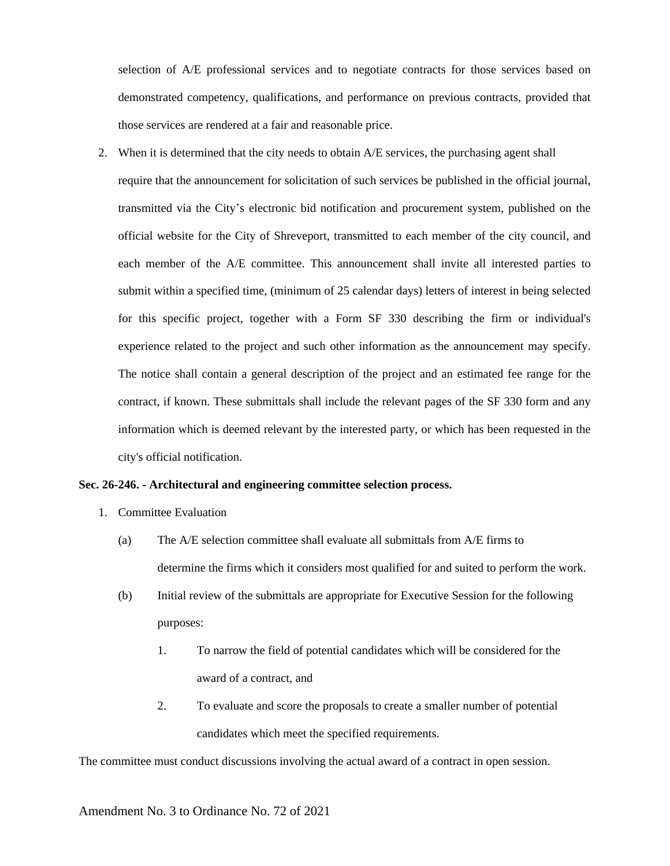selection of A/E professional services and to negotiate contracts for those services based on demonstrated competency, qualifications, and performance on previous contracts, provided that those services are rendered at a fair and reasonable price.

2. When it is determined that the city needs to obtain A/E services, the purchasing agent shall require that the announcement for solicitation of such services be published in the official journal, transmitted via the City's electronic bid notification and procurement system, published on the official website for the City of Shreveport, transmitted to each member of the city council, and each member of the A/E committee. This announcement shall invite all interested parties to submit within a specified time, (minimum of 25 calendar days) letters of interest in being selected for this specific project, together with a Form SF 330 describing the firm or individual's experience related to the project and such other information as the announcement may specify. The notice shall contain a general description of the project and an estimated fee range for the contract, if known. These submittals shall include the relevant pages of the SF 330 form and any information which is deemed relevant by the interested party, or which has been requested in the city's official notification.

## **Sec. 26-246. - Architectural and engineering committee selection process.**

- 1. Committee Evaluation
	- (a) The A/E selection committee shall evaluate all submittals from A/E firms to determine the firms which it considers most qualified for and suited to perform the work.
	- (b) Initial review of the submittals are appropriate for Executive Session for the following purposes:
		- 1. To narrow the field of potential candidates which will be considered for the award of a contract, and
		- 2. To evaluate and score the proposals to create a smaller number of potential candidates which meet the specified requirements.

The committee must conduct discussions involving the actual award of a contract in open session.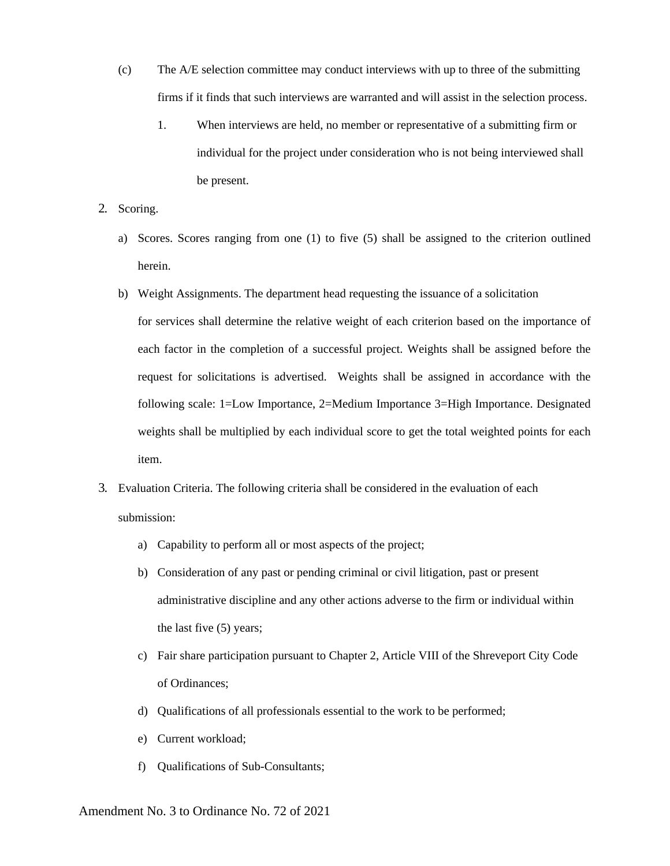- (c) The A/E selection committee may conduct interviews with up to three of the submitting firms if it finds that such interviews are warranted and will assist in the selection process.
	- 1. When interviews are held, no member or representative of a submitting firm or individual for the project under consideration who is not being interviewed shall be present.
- 2. Scoring.
	- a) Scores. Scores ranging from one (1) to five (5) shall be assigned to the criterion outlined herein.
	- b) Weight Assignments. The department head requesting the issuance of a solicitation

for services shall determine the relative weight of each criterion based on the importance of each factor in the completion of a successful project. Weights shall be assigned before the request for solicitations is advertised. Weights shall be assigned in accordance with the following scale: 1=Low Importance, 2=Medium Importance 3=High Importance. Designated weights shall be multiplied by each individual score to get the total weighted points for each item.

- 3. Evaluation Criteria. The following criteria shall be considered in the evaluation of each submission:
	- a) Capability to perform all or most aspects of the project;
	- b) Consideration of any past or pending criminal or civil litigation, past or present administrative discipline and any other actions adverse to the firm or individual within the last five (5) years;
	- c) Fair share participation pursuant to Chapter 2, Article VIII of the Shreveport City Code of Ordinances;
	- d) Qualifications of all professionals essential to the work to be performed;
	- e) Current workload;
	- f) Qualifications of Sub-Consultants;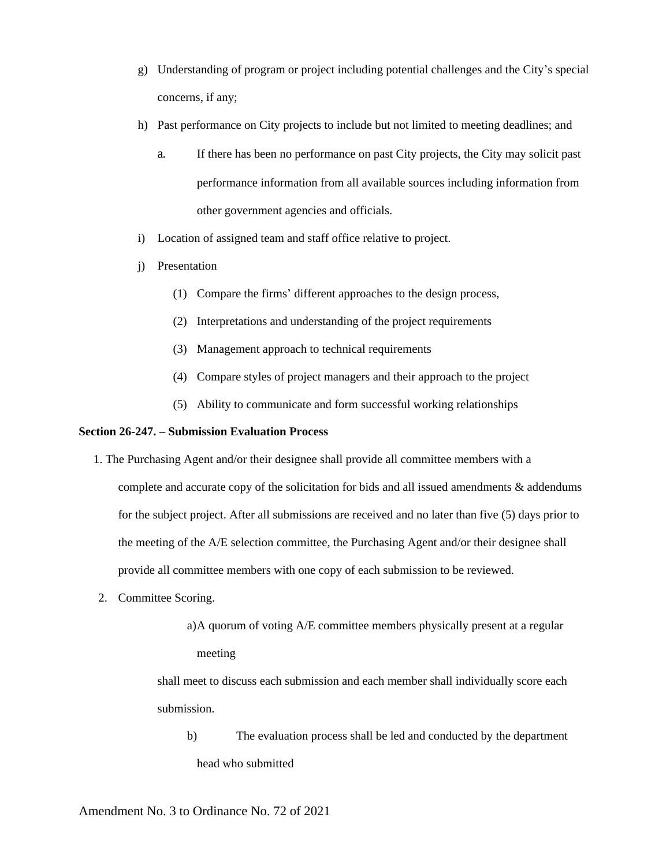- g) Understanding of program or project including potential challenges and the City's special concerns, if any;
- h) Past performance on City projects to include but not limited to meeting deadlines; and
	- a. If there has been no performance on past City projects, the City may solicit past performance information from all available sources including information from other government agencies and officials.
- i) Location of assigned team and staff office relative to project.
- j) Presentation
	- (1) Compare the firms' different approaches to the design process,
	- (2) Interpretations and understanding of the project requirements
	- (3) Management approach to technical requirements
	- (4) Compare styles of project managers and their approach to the project
	- (5) Ability to communicate and form successful working relationships

## **Section 26-247. – Submission Evaluation Process**

- 1. The Purchasing Agent and/or their designee shall provide all committee members with a complete and accurate copy of the solicitation for bids and all issued amendments  $\&$  addendums for the subject project. After all submissions are received and no later than five (5) days prior to the meeting of the A/E selection committee, the Purchasing Agent and/or their designee shall provide all committee members with one copy of each submission to be reviewed.
- 2. Committee Scoring.
	- a)A quorum of voting A/E committee members physically present at a regular meeting

shall meet to discuss each submission and each member shall individually score each submission.

b) The evaluation process shall be led and conducted by the department head who submitted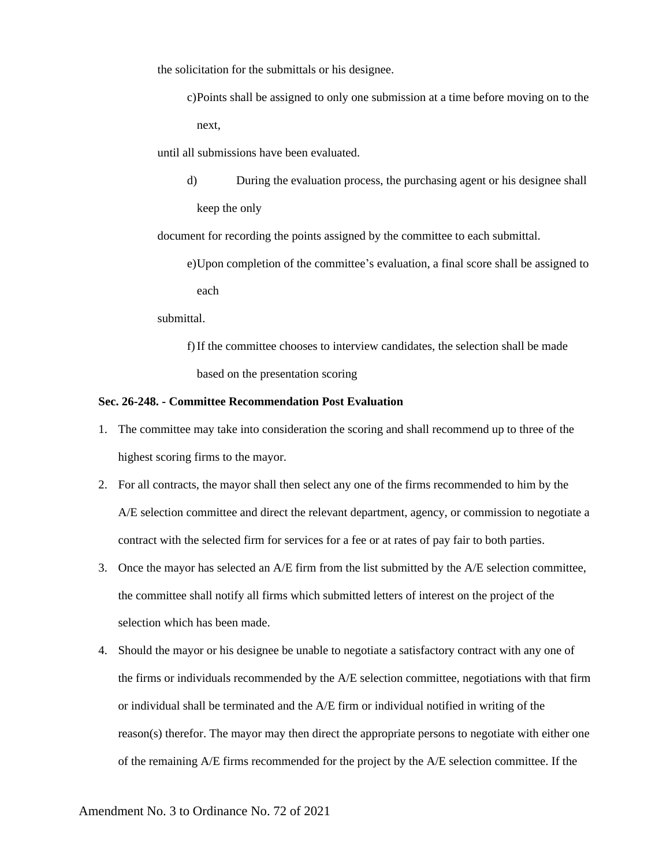the solicitation for the submittals or his designee.

c)Points shall be assigned to only one submission at a time before moving on to the next,

until all submissions have been evaluated.

d) During the evaluation process, the purchasing agent or his designee shall keep the only

document for recording the points assigned by the committee to each submittal.

e)Upon completion of the committee's evaluation, a final score shall be assigned to each

submittal.

f)If the committee chooses to interview candidates, the selection shall be made based on the presentation scoring

## **Sec. 26-248. - Committee Recommendation Post Evaluation**

- 1. The committee may take into consideration the scoring and shall recommend up to three of the highest scoring firms to the mayor.
- 2. For all contracts, the mayor shall then select any one of the firms recommended to him by the A/E selection committee and direct the relevant department, agency, or commission to negotiate a contract with the selected firm for services for a fee or at rates of pay fair to both parties.
- 3. Once the mayor has selected an A/E firm from the list submitted by the A/E selection committee, the committee shall notify all firms which submitted letters of interest on the project of the selection which has been made.
- 4. Should the mayor or his designee be unable to negotiate a satisfactory contract with any one of the firms or individuals recommended by the A/E selection committee, negotiations with that firm or individual shall be terminated and the A/E firm or individual notified in writing of the reason(s) therefor. The mayor may then direct the appropriate persons to negotiate with either one of the remaining A/E firms recommended for the project by the A/E selection committee. If the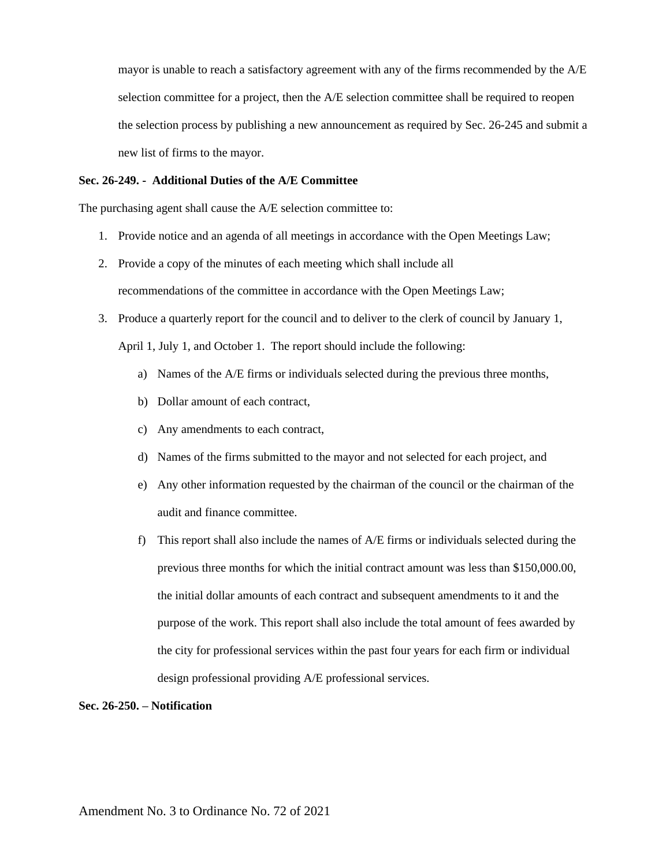mayor is unable to reach a satisfactory agreement with any of the firms recommended by the A/E selection committee for a project, then the A/E selection committee shall be required to reopen the selection process by publishing a new announcement as required by Sec. 26-245 and submit a new list of firms to the mayor.

# **Sec. 26-249. - Additional Duties of the A/E Committee**

The purchasing agent shall cause the A/E selection committee to:

- 1. Provide notice and an agenda of all meetings in accordance with the Open Meetings Law;
- 2. Provide a copy of the minutes of each meeting which shall include all recommendations of the committee in accordance with the Open Meetings Law;
- 3. Produce a quarterly report for the council and to deliver to the clerk of council by January 1, April 1, July 1, and October 1. The report should include the following:
	- a) Names of the A/E firms or individuals selected during the previous three months,
	- b) Dollar amount of each contract,
	- c) Any amendments to each contract,
	- d) Names of the firms submitted to the mayor and not selected for each project, and
	- e) Any other information requested by the chairman of the council or the chairman of the audit and finance committee.
	- f) This report shall also include the names of A/E firms or individuals selected during the previous three months for which the initial contract amount was less than \$150,000.00, the initial dollar amounts of each contract and subsequent amendments to it and the purpose of the work. This report shall also include the total amount of fees awarded by the city for professional services within the past four years for each firm or individual design professional providing A/E professional services.

## **Sec. 26-250. – Notification**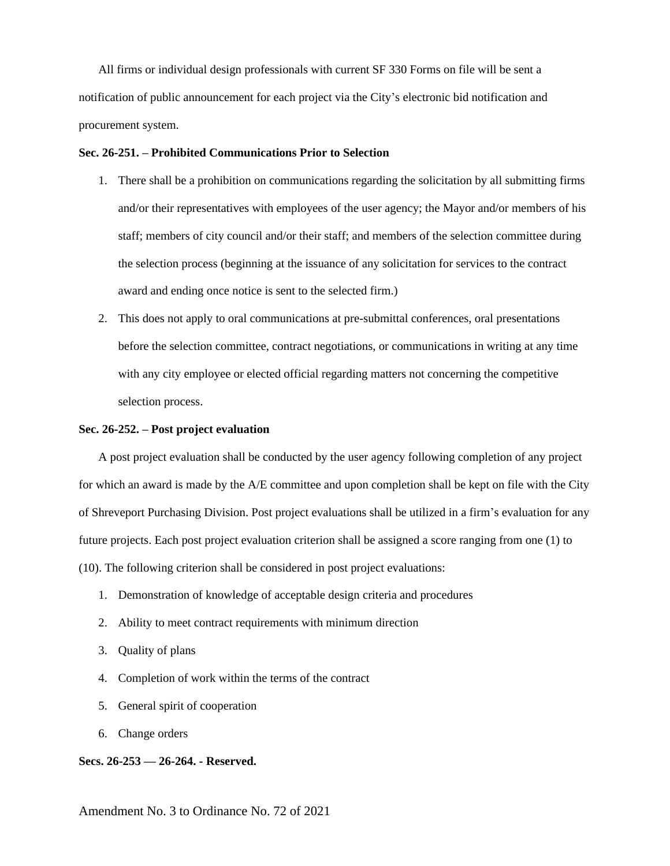All firms or individual design professionals with current SF 330 Forms on file will be sent a notification of public announcement for each project via the City's electronic bid notification and procurement system.

#### **Sec. 26-251. – Prohibited Communications Prior to Selection**

- 1. There shall be a prohibition on communications regarding the solicitation by all submitting firms and/or their representatives with employees of the user agency; the Mayor and/or members of his staff; members of city council and/or their staff; and members of the selection committee during the selection process (beginning at the issuance of any solicitation for services to the contract award and ending once notice is sent to the selected firm.)
- 2. This does not apply to oral communications at pre-submittal conferences, oral presentations before the selection committee, contract negotiations, or communications in writing at any time with any city employee or elected official regarding matters not concerning the competitive selection process.

## **Sec. 26-252. – Post project evaluation**

A post project evaluation shall be conducted by the user agency following completion of any project for which an award is made by the A/E committee and upon completion shall be kept on file with the City of Shreveport Purchasing Division. Post project evaluations shall be utilized in a firm's evaluation for any future projects. Each post project evaluation criterion shall be assigned a score ranging from one (1) to (10). The following criterion shall be considered in post project evaluations:

- 1. Demonstration of knowledge of acceptable design criteria and procedures
- 2. Ability to meet contract requirements with minimum direction
- 3. Quality of plans
- 4. Completion of work within the terms of the contract
- 5. General spirit of cooperation
- 6. Change orders

## **Secs. 26-253 — 26-264. - Reserved.**